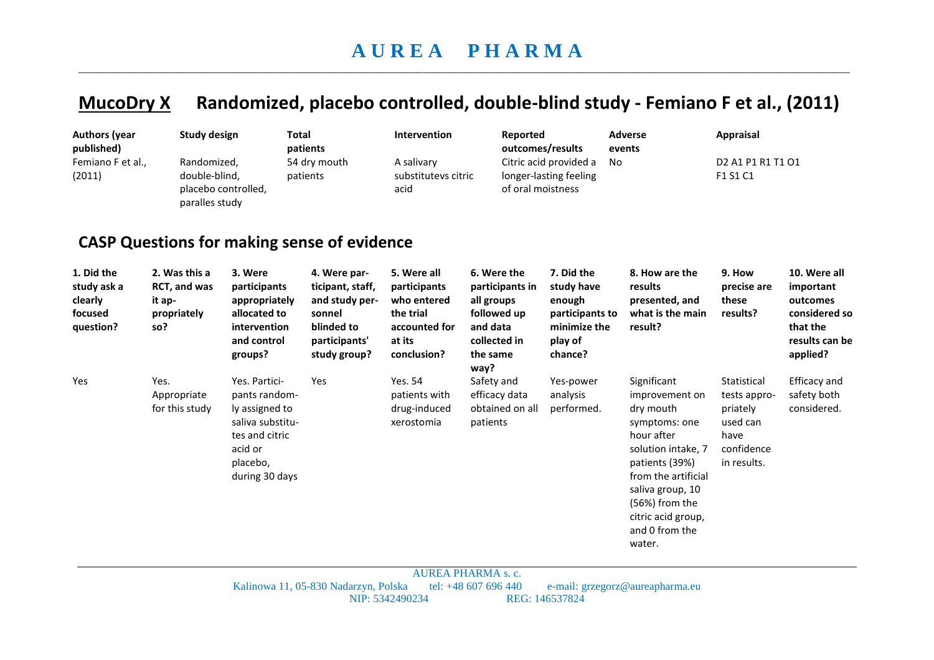## **MucoDry X Randomized, placebo controlled, double-blind study - Femiano F et al., (2011)**

| <b>Authors (year</b><br>published)<br>Femiano F et al.,<br>(2011) | <b>Study design</b><br>Randomized,<br>double-blind,<br>paralles study | placebo controlled,                                                                                                             | <b>Total</b><br>patients<br>54 dry mouth<br>patients<br><b>CASP Questions for making sense of evidence</b>  | Intervention<br>A salivary<br>substitutevs citric<br>acid                                         | Reported<br>of oral moistness                                                                               | outcomes/results<br>Citric acid provided a<br>longer-lasting feeling                        | <b>Adverse</b><br>events<br>No                                                                                                                                                                                                   | <b>Appraisal</b><br>D <sub>2</sub> A <sub>1</sub> P <sub>1</sub> R <sub>1</sub> T <sub>1</sub> O <sub>1</sub><br>F1 S1 C1 |                                                                                                  |
|-------------------------------------------------------------------|-----------------------------------------------------------------------|---------------------------------------------------------------------------------------------------------------------------------|-------------------------------------------------------------------------------------------------------------|---------------------------------------------------------------------------------------------------|-------------------------------------------------------------------------------------------------------------|---------------------------------------------------------------------------------------------|----------------------------------------------------------------------------------------------------------------------------------------------------------------------------------------------------------------------------------|---------------------------------------------------------------------------------------------------------------------------|--------------------------------------------------------------------------------------------------|
| 1. Did the<br>study ask a<br>clearly<br>focused<br>question?      | 2. Was this a<br>RCT, and was<br>it ap-<br>propriately<br>so?         | 3. Were<br>participants<br>appropriately<br>allocated to<br>intervention<br>and control<br>groups?                              | 4. Were par-<br>ticipant, staff,<br>and study per-<br>sonnel<br>blinded to<br>participants'<br>study group? | 5. Were all<br>participants<br>who entered<br>the trial<br>accounted for<br>at its<br>conclusion? | 6. Were the<br>participants in<br>all groups<br>followed up<br>and data<br>collected in<br>the same<br>way? | 7. Did the<br>study have<br>enough<br>participants to<br>minimize the<br>play of<br>chance? | 8. How are the<br>results<br>presented, and<br>what is the main<br>result?                                                                                                                                                       | 9. How<br>precise are<br>these<br>results?                                                                                | 10. Were all<br>important<br>outcomes<br>considered so<br>that the<br>results can be<br>applied? |
| Yes                                                               | Yes.<br>Appropriate<br>for this study                                 | Yes. Partici-<br>pants random-<br>ly assigned to<br>saliva substitu-<br>tes and citric<br>acid or<br>placebo,<br>during 30 days | Yes                                                                                                         | Yes. 54<br>patients with<br>drug-induced<br>xerostomia                                            | Safety and<br>efficacy data<br>obtained on all<br>patients                                                  | Yes-power<br>analysis<br>performed.                                                         | Significant<br>improvement on<br>dry mouth<br>symptoms: one<br>hour after<br>solution intake, 7<br>patients (39%)<br>from the artificial<br>saliva group, 10<br>(56%) from the<br>citric acid group,<br>and 0 from the<br>water. | Statistical<br>tests appro-<br>priately<br>used can<br>have<br>confidence<br>in results.                                  | Efficacy and<br>safety both<br>considered.                                                       |